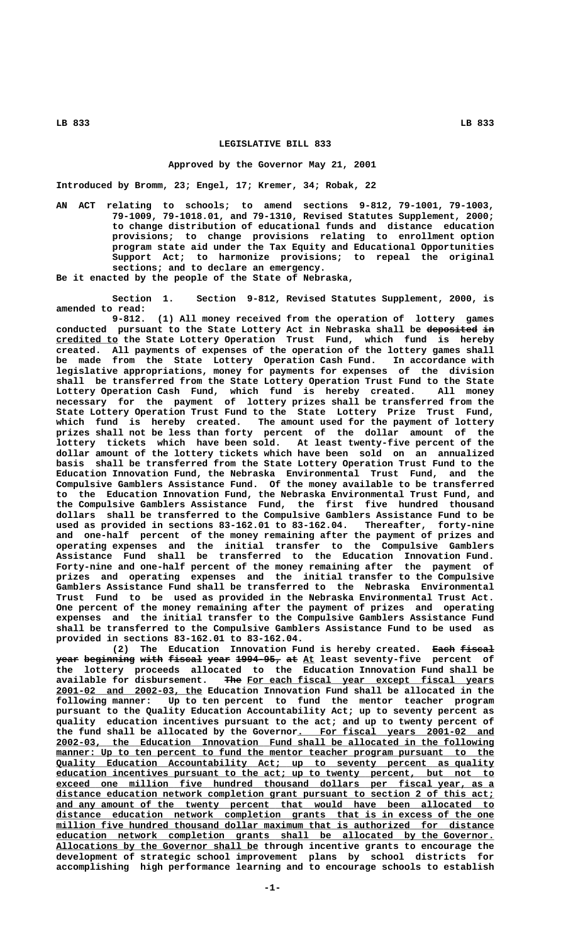## **LEGISLATIVE BILL 833**

## **Approved by the Governor May 21, 2001**

**Introduced by Bromm, 23; Engel, 17; Kremer, 34; Robak, 22**

**AN ACT relating to schools; to amend sections 9-812, 79-1001, 79-1003, 79-1009, 79-1018.01, and 79-1310, Revised Statutes Supplement, 2000; to change distribution of educational funds and distance education provisions; to change provisions relating to enrollment option program state aid under the Tax Equity and Educational Opportunities Support Act; to harmonize provisions; to repeal the original sections; and to declare an emergency. Be it enacted by the people of the State of Nebraska,**

**Section 1. Section 9-812, Revised Statutes Supplement, 2000, is amended to read:**

**9-812. (1) All money received from the operation of lottery games conducted pursuant to the State Lottery Act in Nebraska shall be deposited in ————————— —— \_\_\_\_\_\_\_\_\_\_\_ credited to the State Lottery Operation Trust Fund, which fund is hereby created. All payments of expenses of the operation of the lottery games shall be made from the State Lottery Operation Cash Fund. In accordance with legislative appropriations, money for payments for expenses of the division shall be transferred from the State Lottery Operation Trust Fund to the State Lottery Operation Cash Fund, which fund is hereby created. All money necessary for the payment of lottery prizes shall be transferred from the State Lottery Operation Trust Fund to the State Lottery Prize Trust Fund, which fund is hereby created. The amount used for the payment of lottery prizes shall not be less than forty percent of the dollar amount of the lottery tickets which have been sold. At least twenty-five percent of the dollar amount of the lottery tickets which have been sold on an annualized basis shall be transferred from the State Lottery Operation Trust Fund to the Education Innovation Fund, the Nebraska Environmental Trust Fund, and the Compulsive Gamblers Assistance Fund. Of the money available to be transferred to the Education Innovation Fund, the Nebraska Environmental Trust Fund, and the Compulsive Gamblers Assistance Fund, the first five hundred thousand dollars shall be transferred to the Compulsive Gamblers Assistance Fund to be used as provided in sections 83-162.01 to 83-162.04. Thereafter, forty-nine and one-half percent of the money remaining after the payment of prizes and operating expenses and the initial transfer to the Compulsive Gamblers Assistance Fund shall be transferred to the Education Innovation Fund. Forty-nine and one-half percent of the money remaining after the payment of prizes and operating expenses and the initial transfer to the Compulsive Gamblers Assistance Fund shall be transferred to the Nebraska Environmental Trust Fund to be used as provided in the Nebraska Environmental Trust Act. One percent of the money remaining after the payment of prizes and operating expenses and the initial transfer to the Compulsive Gamblers Assistance Fund shall be transferred to the Compulsive Gamblers Assistance Fund to be used as provided in sections 83-162.01 to 83-162.04.**

(2) The Education Innovation Fund is hereby created. Each fiscal **year beginning with fiscal year 1994-95, at At least seventy-five percent of ———— ————————— ———— —————— ———— ———————— —— \_\_ the lottery proceeds allocated to the Education Innovation Fund shall be** available for disbursement. The For each fiscal year except fiscal years  **\_\_\_\_\_\_\_\_\_\_\_\_\_\_\_\_\_\_\_\_\_\_\_\_\_\_ 2001-02 and 2002-03, the Education Innovation Fund shall be allocated in the following manner: Up to ten percent to fund the mentor teacher program pursuant to the Quality Education Accountability Act; up to seventy percent as quality education incentives pursuant to the act; and up to twenty percent of \_\_\_\_\_\_\_\_\_\_\_\_\_\_\_\_\_\_\_\_\_\_\_\_\_\_\_\_\_\_\_\_\_\_\_ the fund shall be allocated by the Governor. For fiscal years 2001-02 and \_\_\_\_\_\_\_\_\_\_\_\_\_\_\_\_\_\_\_\_\_\_\_\_\_\_\_\_\_\_\_\_\_\_\_\_\_\_\_\_\_\_\_\_\_\_\_\_\_\_\_\_\_\_\_\_\_\_\_\_\_\_\_\_\_\_\_\_\_\_\_\_\_\_\_\_\_\_ 2002-03, the Education Innovation Fund shall be allocated in the following**  $manner:$  Up to ten percent to fund the mentor teacher program pursuant to the  **\_\_\_\_\_\_\_\_\_\_\_\_\_\_\_\_\_\_\_\_\_\_\_\_\_\_\_\_\_\_\_\_\_\_\_\_\_\_\_\_\_\_\_\_\_\_\_\_\_\_\_\_\_\_\_\_\_\_\_\_\_\_\_\_\_\_\_\_\_\_\_\_\_\_\_\_\_\_ Quality Education Accountability Act; up to seventy percent as quality \_\_\_\_\_\_\_\_\_\_\_\_\_\_\_\_\_\_\_\_\_\_\_\_\_\_\_\_\_\_\_\_\_\_\_\_\_\_\_\_\_\_\_\_\_\_\_\_\_\_\_\_\_\_\_\_\_\_\_\_\_\_\_\_\_\_\_\_\_\_\_\_\_\_\_\_\_\_ education incentives pursuant to the act; up to twenty percent, but not to \_\_\_\_\_\_\_\_\_\_\_\_\_\_\_\_\_\_\_\_\_\_\_\_\_\_\_\_\_\_\_\_\_\_\_\_\_\_\_\_\_\_\_\_\_\_\_\_\_\_\_\_\_\_\_\_\_\_\_\_\_\_\_\_\_\_\_\_\_\_\_\_\_\_\_\_\_\_ exceed one million five hundred thousand dollars per fiscal year, as a \_\_\_\_\_\_\_\_\_\_\_\_\_\_\_\_\_\_\_\_\_\_\_\_\_\_\_\_\_\_\_\_\_\_\_\_\_\_\_\_\_\_\_\_\_\_\_\_\_\_\_\_\_\_\_\_\_\_\_\_\_\_\_\_\_\_\_\_\_\_\_\_\_\_\_\_\_\_ distance education network completion grant pursuant to section 2 of this act; \_\_\_\_\_\_\_\_\_\_\_\_\_\_\_\_\_\_\_\_\_\_\_\_\_\_\_\_\_\_\_\_\_\_\_\_\_\_\_\_\_\_\_\_\_\_\_\_\_\_\_\_\_\_\_\_\_\_\_\_\_\_\_\_\_\_\_\_\_\_\_\_\_\_\_\_\_\_ and any amount of the twenty percent that would have been allocated to**  $distance$  education network completion grants that is in excess of the one  **\_\_\_\_\_\_\_\_\_\_\_\_\_\_\_\_\_\_\_\_\_\_\_\_\_\_\_\_\_\_\_\_\_\_\_\_\_\_\_\_\_\_\_\_\_\_\_\_\_\_\_\_\_\_\_\_\_\_\_\_\_\_\_\_\_\_\_\_\_\_\_\_\_\_\_\_\_\_ million five hundred thousand dollar maximum that is authorized for distance \_\_\_\_\_\_\_\_\_\_\_\_\_\_\_\_\_\_\_\_\_\_\_\_\_\_\_\_\_\_\_\_\_\_\_\_\_\_\_\_\_\_\_\_\_\_\_\_\_\_\_\_\_\_\_\_\_\_\_\_\_\_\_\_\_\_\_\_\_\_\_\_\_\_\_\_\_\_ education network completion grants shall be allocated by the Governor. \_\_\_\_\_\_\_\_\_\_\_\_\_\_\_\_\_\_\_\_\_\_\_\_\_\_\_\_\_\_\_\_\_\_\_\_ Allocations by the Governor shall be through incentive grants to encourage the development of strategic school improvement plans by school districts for accomplishing high performance learning and to encourage schools to establish**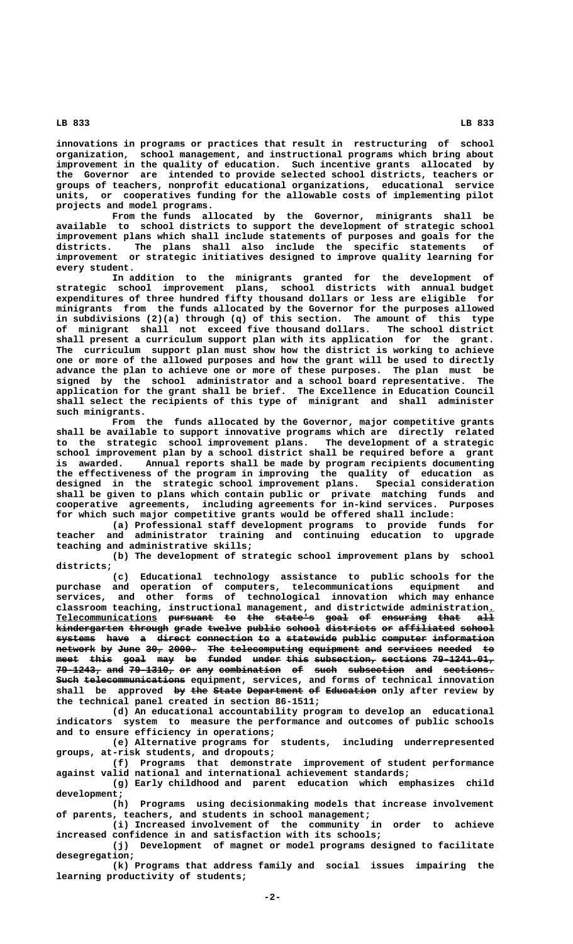**innovations in programs or practices that result in restructuring of school organization, school management, and instructional programs which bring about improvement in the quality of education. Such incentive grants allocated by the Governor are intended to provide selected school districts, teachers or groups of teachers, nonprofit educational organizations, educational service units, or cooperatives funding for the allowable costs of implementing pilot projects and model programs.**

**From the funds allocated by the Governor, minigrants shall be available to school districts to support the development of strategic school improvement plans which shall include statements of purposes and goals for the districts. The plans shall also include the specific statements of improvement or strategic initiatives designed to improve quality learning for every student.**

**In addition to the minigrants granted for the development of strategic school improvement plans, school districts with annual budget expenditures of three hundred fifty thousand dollars or less are eligible for minigrants from the funds allocated by the Governor for the purposes allowed in subdivisions (2)(a) through (q) of this section. The amount of this type of minigrant shall not exceed five thousand dollars. The school district shall present a curriculum support plan with its application for the grant. The curriculum support plan must show how the district is working to achieve one or more of the allowed purposes and how the grant will be used to directly advance the plan to achieve one or more of these purposes. The plan must be signed by the school administrator and a school board representative. The application for the grant shall be brief. The Excellence in Education Council shall select the recipients of this type of minigrant and shall administer such minigrants.**

**From the funds allocated by the Governor, major competitive grants shall be available to support innovative programs which are directly related to the strategic school improvement plans. The development of a strategic school improvement plan by a school district shall be required before a grant is awarded. Annual reports shall be made by program recipients documenting the effectiveness of the program in improving the quality of education as designed in the strategic school improvement plans. Special consideration shall be given to plans which contain public or private matching funds and cooperative agreements, including agreements for in-kind services. Purposes for which such major competitive grants would be offered shall include:**

**(a) Professional staff development programs to provide funds for teacher and administrator training and continuing education to upgrade teaching and administrative skills;**

**(b) The development of strategic school improvement plans by school districts;**

**(c) Educational technology assistance to public schools for the purchase and operation of computers, telecommunications equipment and services, and other forms of technological innovation which may enhance classroom teaching, instructional management, and districtwide administration.\_ Telecommunications pursuant to the state's goal of ensuring that all \_\_\_\_\_\_\_\_\_\_\_\_\_\_\_\_\_\_ ———————— —— ——— ——————— ———— —— ———————— ———— —— kindergarten through grade twelve public school districts or affiliated school ———————————— ——————— ————— —————— —————— —————— ————————— —— —————————— ————— systems have a direct connection to a statewide public computer information ——————— ———— — —————— —————————— —— — ————————— —————— ———————— —————————— network by June 30, 2000. The telecomputing equipment and services needed to ——————— —— ———— ——— ————— ——— ————————————— ————————— ——— ———————— —————— — meet this goal may be funded under this subsection, sections 79-1241.01, ———— ———— ———— ——— —— —————— ————— ———— ——————————— ———————— ——————————— 79-1243, and 79-1310, or any combination of such subsection and sections. ———————— ——— ———————— —— ——— ——————————— —— ———— —————————— ——— ————————**  $f$  **5uch telecommunications** equipment, services, and forms of technical innovation shall be approved by the State Department of Education only after review by **the technical panel created in section 86-1511;**

**(d) An educational accountability program to develop an educational indicators system to measure the performance and outcomes of public schools and to ensure efficiency in operations;**

**(e) Alternative programs for students, including underrepresented groups, at-risk students, and dropouts;**

**(f) Programs that demonstrate improvement of student performance against valid national and international achievement standards;**

**(g) Early childhood and parent education which emphasizes child development;**

**(h) Programs using decisionmaking models that increase involvement of parents, teachers, and students in school management;**

**(i) Increased involvement of the community in order to achieve increased confidence in and satisfaction with its schools;**

**(j) Development of magnet or model programs designed to facilitate desegregation;**

**(k) Programs that address family and social issues impairing the learning productivity of students;**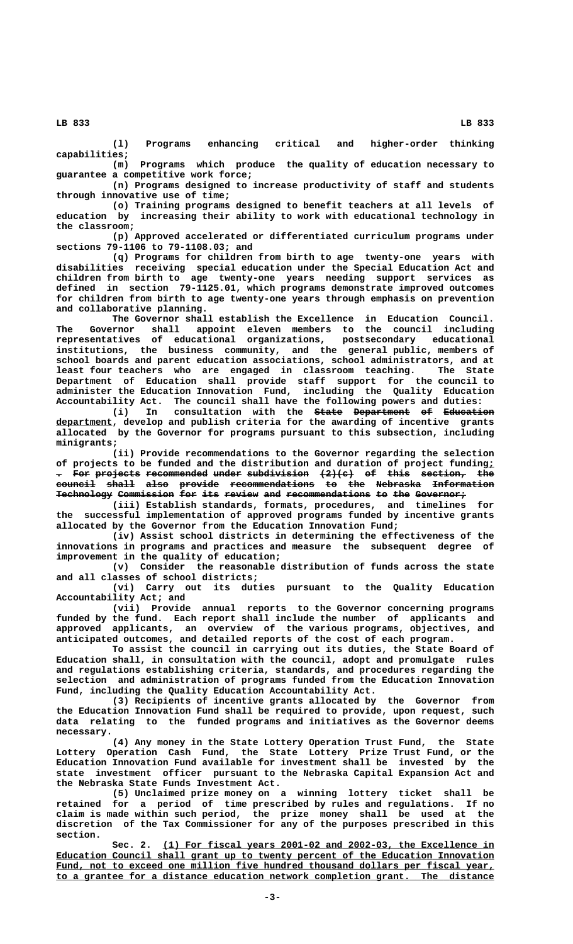**(l) Programs enhancing critical and higher-order thinking capabilities;**

**(m) Programs which produce the quality of education necessary to guarantee a competitive work force;**

**(n) Programs designed to increase productivity of staff and students through innovative use of time;**

**(o) Training programs designed to benefit teachers at all levels of education by increasing their ability to work with educational technology in the classroom;**

**(p) Approved accelerated or differentiated curriculum programs under sections 79-1106 to 79-1108.03; and**

**(q) Programs for children from birth to age twenty-one years with disabilities receiving special education under the Special Education Act and children from birth to age twenty-one years needing support services as defined in section 79-1125.01, which programs demonstrate improved outcomes for children from birth to age twenty-one years through emphasis on prevention and collaborative planning.**

**The Governor shall establish the Excellence in Education Council. The Governor shall appoint eleven members to the council including representatives of educational organizations, postsecondary educational institutions, the business community, and the general public, members of school boards and parent education associations, school administrators, and at least four teachers who are engaged in classroom teaching. The State Department of Education shall provide staff support for the council to administer the Education Innovation Fund, including the Quality Education Accountability Act. The council shall have the following powers and duties:**

(i) In consultation with the <del>State Department of Education</del>  **\_\_\_\_\_\_\_\_\_\_ department, develop and publish criteria for the awarding of incentive grants allocated by the Governor for programs pursuant to this subsection, including minigrants;**

**(ii) Provide recommendations to the Governor regarding the selection of projects to be funded and the distribution and duration of project funding;\_**  $\begin{array}{llllll} \text{\textbf{ \texttt{--}}\textbf{--}} & \text{\textbf{--}} & \text{\textbf{--}} & \text{\textbf{--}} \\ \text{\textbf{--}} & \text{\textbf{--}} & \text{\textbf{--}} & \text{\textbf{--}} & \text{\textbf{--}} & \text{\textbf{--}} \end{array} \text{\textbf{--}} & \text{\textbf{--}} & \text{\textbf{--}} & \text{\textbf{--}} & \text{\textbf{--}} & \text{\textbf{--}} & \text{\textbf{--}} & \text{\textbf{--}} \\ \text{\textbf{--}} & \text{\textbf{--}} & \text{\textbf{--}} & \text{\textbf{--}} &$ **council shall also provide recommendations to the Nebraska Information ——————— ————— ———— ——————— ——————————————— —— ——— ———————— ———————————** Technology Commission for its review and recommendations to the Governor,

**(iii) Establish standards, formats, procedures, and timelines for the successful implementation of approved programs funded by incentive grants allocated by the Governor from the Education Innovation Fund;**

**(iv) Assist school districts in determining the effectiveness of the innovations in programs and practices and measure the subsequent degree of improvement in the quality of education;**

**(v) Consider the reasonable distribution of funds across the state and all classes of school districts;**

**(vi) Carry out its duties pursuant to the Quality Education Accountability Act; and**

**(vii) Provide annual reports to the Governor concerning programs funded by the fund. Each report shall include the number of applicants and approved applicants, an overview of the various programs, objectives, and anticipated outcomes, and detailed reports of the cost of each program.**

**To assist the council in carrying out its duties, the State Board of Education shall, in consultation with the council, adopt and promulgate rules and regulations establishing criteria, standards, and procedures regarding the selection and administration of programs funded from the Education Innovation Fund, including the Quality Education Accountability Act.**

**(3) Recipients of incentive grants allocated by the Governor from the Education Innovation Fund shall be required to provide, upon request, such data relating to the funded programs and initiatives as the Governor deems necessary.**

**(4) Any money in the State Lottery Operation Trust Fund, the State Lottery Operation Cash Fund, the State Lottery Prize Trust Fund, or the Education Innovation Fund available for investment shall be invested by the state investment officer pursuant to the Nebraska Capital Expansion Act and the Nebraska State Funds Investment Act.**

**(5) Unclaimed prize money on a winning lottery ticket shall be retained for a period of time prescribed by rules and regulations. If no claim is made within such period, the prize money shall be used at the discretion of the Tax Commissioner for any of the purposes prescribed in this section.**

 **\_\_\_\_\_\_\_\_\_\_\_\_\_\_\_\_\_\_\_\_\_\_\_\_\_\_\_\_\_\_\_\_\_\_\_\_\_\_\_\_\_\_\_\_\_\_\_\_\_\_\_\_\_\_\_\_\_\_\_ Sec. 2. (1) For fiscal years 2001-02 and 2002-03, the Excellence in \_\_\_\_\_\_\_\_\_\_\_\_\_\_\_\_\_\_\_\_\_\_\_\_\_\_\_\_\_\_\_\_\_\_\_\_\_\_\_\_\_\_\_\_\_\_\_\_\_\_\_\_\_\_\_\_\_\_\_\_\_\_\_\_\_\_\_\_\_\_\_\_\_\_\_\_\_\_ Education Council shall grant up to twenty percent of the Education Innovation** Fund, not to exceed one million five hundred thousand dollars per fiscal year,  **\_\_\_\_\_\_\_\_\_\_\_\_\_\_\_\_\_\_\_\_\_\_\_\_\_\_\_\_\_\_\_\_\_\_\_\_\_\_\_\_\_\_\_\_\_\_\_\_\_\_\_\_\_\_\_\_\_\_\_\_\_\_\_\_\_\_\_\_\_\_\_\_\_\_\_\_\_\_ to a grantee for a distance education network completion grant. The distance**

 **LB 833 LB 833**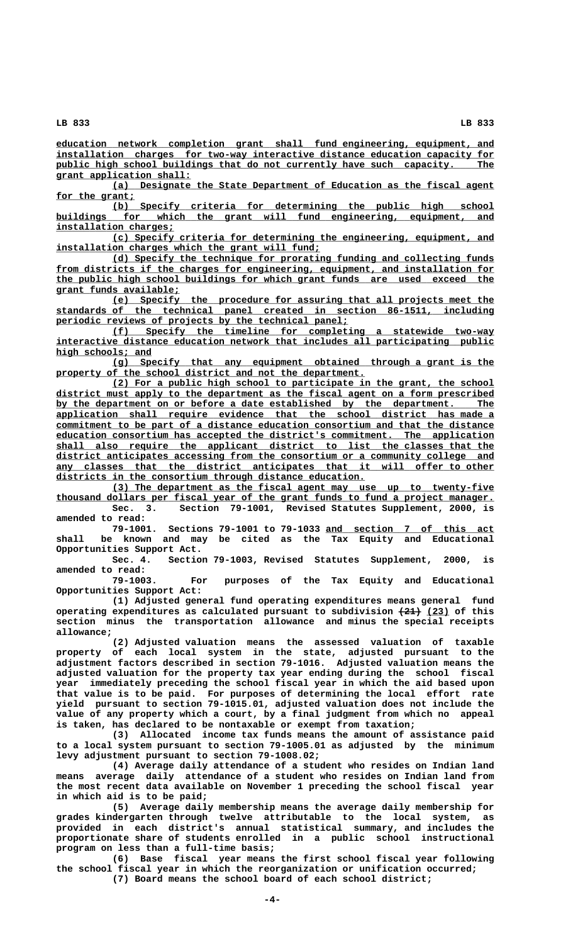**\_\_\_\_\_\_\_\_\_\_\_\_\_\_\_\_\_\_\_\_\_\_\_\_\_\_\_\_\_\_\_\_\_\_\_\_\_\_\_\_\_\_\_\_\_\_\_\_\_\_\_\_\_\_\_\_\_\_\_\_\_\_\_\_\_\_\_\_\_\_\_\_\_\_\_\_\_\_ education network completion grant shall fund engineering, equipment, and \_\_\_\_\_\_\_\_\_\_\_\_\_\_\_\_\_\_\_\_\_\_\_\_\_\_\_\_\_\_\_\_\_\_\_\_\_\_\_\_\_\_\_\_\_\_\_\_\_\_\_\_\_\_\_\_\_\_\_\_\_\_\_\_\_\_\_\_\_\_\_\_\_\_\_\_\_\_ installation charges for two-way interactive distance education capacity for** public high school buildings that do not currently have such capacity. The  **\_\_\_\_\_\_\_\_\_\_\_\_\_\_\_\_\_\_\_\_\_\_\_\_ grant application shall:**

 **\_\_\_\_\_\_\_\_\_\_\_\_\_\_\_\_\_\_\_\_\_\_\_\_\_\_\_\_\_\_\_\_\_\_\_\_\_\_\_\_\_\_\_\_\_\_\_\_\_\_\_\_\_\_\_\_\_\_\_\_\_\_\_\_\_\_\_\_ (a) Designate the State Department of Education as the fiscal agent** for the grant;

 **\_\_\_\_\_\_\_\_\_\_\_\_\_\_\_\_\_\_\_\_\_\_\_\_\_\_\_\_\_\_\_\_\_\_\_\_\_\_\_\_\_\_\_\_\_\_\_\_\_\_\_\_\_\_\_\_\_\_\_\_\_\_\_\_\_\_\_\_ (b) Specify criteria for determining the public high school \_\_\_\_\_\_\_\_\_\_\_\_\_\_\_\_\_\_\_\_\_\_\_\_\_\_\_\_\_\_\_\_\_\_\_\_\_\_\_\_\_\_\_\_\_\_\_\_\_\_\_\_\_\_\_\_\_\_\_\_\_\_\_\_\_\_\_\_\_\_\_\_\_\_\_\_\_\_ buildings for which the grant will fund engineering, equipment, and installation charges; \_\_\_\_\_\_\_\_\_\_\_\_\_\_\_\_\_\_\_\_\_**

 **\_\_\_\_\_\_\_\_\_\_\_\_\_\_\_\_\_\_\_\_\_\_\_\_\_\_\_\_\_\_\_\_\_\_\_\_\_\_\_\_\_\_\_\_\_\_\_\_\_\_\_\_\_\_\_\_\_\_\_\_\_\_\_\_\_\_\_\_ (c) Specify criteria for determining the engineering, equipment, and \_\_\_\_\_\_\_\_\_\_\_\_\_\_\_\_\_\_\_\_\_\_\_\_\_\_\_\_\_\_\_\_\_\_\_\_\_\_\_\_\_\_\_\_\_\_\_ installation charges which the grant will fund;**

 **\_\_\_\_\_\_\_\_\_\_\_\_\_\_\_\_\_\_\_\_\_\_\_\_\_\_\_\_\_\_\_\_\_\_\_\_\_\_\_\_\_\_\_\_\_\_\_\_\_\_\_\_\_\_\_\_\_\_\_\_\_\_\_\_\_\_\_\_ (d) Specify the technique for prorating funding and collecting funds** from districts if the charges for engineering, equipment, and installation for  **\_\_\_\_\_\_\_\_\_\_\_\_\_\_\_\_\_\_\_\_\_\_\_\_\_\_\_\_\_\_\_\_\_\_\_\_\_\_\_\_\_\_\_\_\_\_\_\_\_\_\_\_\_\_\_\_\_\_\_\_\_\_\_\_\_\_\_\_\_\_\_\_\_\_\_\_\_\_ the public high school buildings for which grant funds are used exceed the \_\_\_\_\_\_\_\_\_\_\_\_\_\_\_\_\_\_\_\_\_\_ grant funds available;**

 **\_\_\_\_\_\_\_\_\_\_\_\_\_\_\_\_\_\_\_\_\_\_\_\_\_\_\_\_\_\_\_\_\_\_\_\_\_\_\_\_\_\_\_\_\_\_\_\_\_\_\_\_\_\_\_\_\_\_\_\_\_\_\_\_\_\_\_\_ (e) Specify the procedure for assuring that all projects meet the \_\_\_\_\_\_\_\_\_\_\_\_\_\_\_\_\_\_\_\_\_\_\_\_\_\_\_\_\_\_\_\_\_\_\_\_\_\_\_\_\_\_\_\_\_\_\_\_\_\_\_\_\_\_\_\_\_\_\_\_\_\_\_\_\_\_\_\_\_\_\_\_\_\_\_\_\_\_ standards of the technical panel created in section 86-1511, including** periodic reviews of projects by the technical panel;

 **\_\_\_\_\_\_\_\_\_\_\_\_\_\_\_\_\_\_\_\_\_\_\_\_\_\_\_\_\_\_\_\_\_\_\_\_\_\_\_\_\_\_\_\_\_\_\_\_\_\_\_\_\_\_\_\_\_\_\_\_\_\_\_\_\_\_\_\_ (f) Specify the timeline for completing a statewide two-way \_\_\_\_\_\_\_\_\_\_\_\_\_\_\_\_\_\_\_\_\_\_\_\_\_\_\_\_\_\_\_\_\_\_\_\_\_\_\_\_\_\_\_\_\_\_\_\_\_\_\_\_\_\_\_\_\_\_\_\_\_\_\_\_\_\_\_\_\_\_\_\_\_\_\_\_\_\_ interactive distance education network that includes all participating public \_\_\_\_\_\_\_\_\_\_\_\_\_\_\_\_\_ high schools; and**

 **\_\_\_\_\_\_\_\_\_\_\_\_\_\_\_\_\_\_\_\_\_\_\_\_\_\_\_\_\_\_\_\_\_\_\_\_\_\_\_\_\_\_\_\_\_\_\_\_\_\_\_\_\_\_\_\_\_\_\_\_\_\_\_\_\_\_\_\_ (g) Specify that any equipment obtained through a grant is the** property of the school district and not the department.

 **\_\_\_\_\_\_\_\_\_\_\_\_\_\_\_\_\_\_\_\_\_\_\_\_\_\_\_\_\_\_\_\_\_\_\_\_\_\_\_\_\_\_\_\_\_\_\_\_\_\_\_\_\_\_\_\_\_\_\_\_\_\_\_\_\_\_\_\_ (2) For a public high school to participate in the grant, the school \_\_\_\_\_\_\_\_\_\_\_\_\_\_\_\_\_\_\_\_\_\_\_\_\_\_\_\_\_\_\_\_\_\_\_\_\_\_\_\_\_\_\_\_\_\_\_\_\_\_\_\_\_\_\_\_\_\_\_\_\_\_\_\_\_\_\_\_\_\_\_\_\_\_\_\_\_\_ district must apply to the department as the fiscal agent on a form prescribed \_\_\_\_\_\_\_\_\_\_\_\_\_\_\_\_\_\_\_\_\_\_\_\_\_\_\_\_\_\_\_\_\_\_\_\_\_\_\_\_\_\_\_\_\_\_\_\_\_\_\_\_\_\_\_\_\_\_\_\_\_\_\_\_\_\_\_\_\_\_\_\_\_\_\_\_\_\_ by the department on or before a date established by the department. The \_\_\_\_\_\_\_\_\_\_\_\_\_\_\_\_\_\_\_\_\_\_\_\_\_\_\_\_\_\_\_\_\_\_\_\_\_\_\_\_\_\_\_\_\_\_\_\_\_\_\_\_\_\_\_\_\_\_\_\_\_\_\_\_\_\_\_\_\_\_\_\_\_\_\_\_\_\_ application shall require evidence that the school district has made a \_\_\_\_\_\_\_\_\_\_\_\_\_\_\_\_\_\_\_\_\_\_\_\_\_\_\_\_\_\_\_\_\_\_\_\_\_\_\_\_\_\_\_\_\_\_\_\_\_\_\_\_\_\_\_\_\_\_\_\_\_\_\_\_\_\_\_\_\_\_\_\_\_\_\_\_\_\_ commitment to be part of a distance education consortium and that the distance \_\_\_\_\_\_\_\_\_\_\_\_\_\_\_\_\_\_\_\_\_\_\_\_\_\_\_\_\_\_\_\_\_\_\_\_\_\_\_\_\_\_\_\_\_\_\_\_\_\_\_\_\_\_\_\_\_\_\_\_\_\_\_\_\_\_\_\_\_\_\_\_\_\_\_\_\_\_ education consortium has accepted the district's commitment. The application \_\_\_\_\_\_\_\_\_\_\_\_\_\_\_\_\_\_\_\_\_\_\_\_\_\_\_\_\_\_\_\_\_\_\_\_\_\_\_\_\_\_\_\_\_\_\_\_\_\_\_\_\_\_\_\_\_\_\_\_\_\_\_\_\_\_\_\_\_\_\_\_\_\_\_\_\_\_ shall also require the applicant district to list the classes that the \_\_\_\_\_\_\_\_\_\_\_\_\_\_\_\_\_\_\_\_\_\_\_\_\_\_\_\_\_\_\_\_\_\_\_\_\_\_\_\_\_\_\_\_\_\_\_\_\_\_\_\_\_\_\_\_\_\_\_\_\_\_\_\_\_\_\_\_\_\_\_\_\_\_\_\_\_\_ district anticipates accessing from the consortium or a community college and \_\_\_\_\_\_\_\_\_\_\_\_\_\_\_\_\_\_\_\_\_\_\_\_\_\_\_\_\_\_\_\_\_\_\_\_\_\_\_\_\_\_\_\_\_\_\_\_\_\_\_\_\_\_\_\_\_\_\_\_\_\_\_\_\_\_\_\_\_\_\_\_\_\_\_\_\_\_ any classes that the district anticipates that it will offer to other \_\_\_\_\_\_\_\_\_\_\_\_\_\_\_\_\_\_\_\_\_\_\_\_\_\_\_\_\_\_\_\_\_\_\_\_\_\_\_\_\_\_\_\_\_\_\_\_\_\_\_\_\_\_\_ districts in the consortium through distance education.**

 **\_\_\_\_\_\_\_\_\_\_\_\_\_\_\_\_\_\_\_\_\_\_\_\_\_\_\_\_\_\_\_\_\_\_\_\_\_\_\_\_\_\_\_\_\_\_\_\_\_\_\_\_\_\_\_\_\_\_\_\_\_\_\_\_\_\_\_\_ (3) The department as the fiscal agent may use up to twenty-five \_\_\_\_\_\_\_\_\_\_\_\_\_\_\_\_\_\_\_\_\_\_\_\_\_\_\_\_\_\_\_\_\_\_\_\_\_\_\_\_\_\_\_\_\_\_\_\_\_\_\_\_\_\_\_\_\_\_\_\_\_\_\_\_\_\_\_\_\_\_\_\_\_\_\_\_\_\_ thousand dollars per fiscal year of the grant funds to fund a project manager. Sec. 3. Section 79-1001, Revised Statutes Supplement, 2000, is amended to read:**

**79-1001. Sections 79-1001 to 79-1033 and section 7 of this act \_\_\_\_\_\_\_\_\_\_\_\_\_\_\_\_\_\_\_\_\_\_\_\_\_\_\_\_\_\_ shall be known and may be cited as the Tax Equity and Educational Opportunities Support Act.**

**Sec. 4. Section 79-1003, Revised Statutes Supplement, 2000, is amended to read:**

**79-1003. For purposes of the Tax Equity and Educational Opportunities Support Act:**

**(1) Adjusted general fund operating expenditures means general fund** operating expenditures as calculated pursuant to subdivision  $(21)$   $(23)$  of this **section minus the transportation allowance and minus the special receipts allowance;**

**(2) Adjusted valuation means the assessed valuation of taxable property of each local system in the state, adjusted pursuant to the adjustment factors described in section 79-1016. Adjusted valuation means the adjusted valuation for the property tax year ending during the school fiscal year immediately preceding the school fiscal year in which the aid based upon that value is to be paid. For purposes of determining the local effort rate yield pursuant to section 79-1015.01, adjusted valuation does not include the value of any property which a court, by a final judgment from which no appeal is taken, has declared to be nontaxable or exempt from taxation;**

**(3) Allocated income tax funds means the amount of assistance paid to a local system pursuant to section 79-1005.01 as adjusted by the minimum levy adjustment pursuant to section 79-1008.02;**

**(4) Average daily attendance of a student who resides on Indian land means average daily attendance of a student who resides on Indian land from the most recent data available on November 1 preceding the school fiscal year in which aid is to be paid;**

**(5) Average daily membership means the average daily membership for grades kindergarten through twelve attributable to the local system, as provided in each district's annual statistical summary, and includes the proportionate share of students enrolled in a public school instructional program on less than a full-time basis;**

**(6) Base fiscal year means the first school fiscal year following the school fiscal year in which the reorganization or unification occurred; (7) Board means the school board of each school district;**

 **-4-**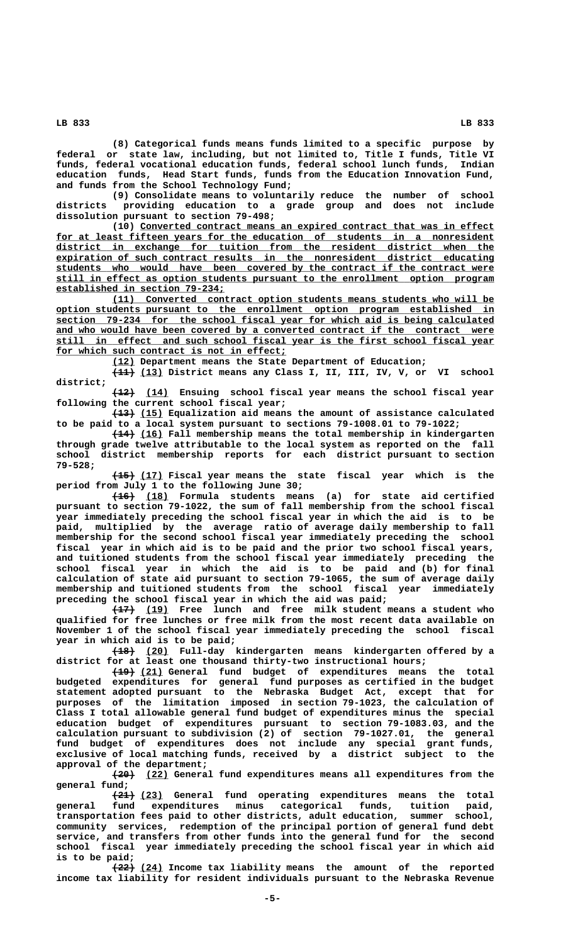**(8) Categorical funds means funds limited to a specific purpose by federal or state law, including, but not limited to, Title I funds, Title VI funds, federal vocational education funds, federal school lunch funds, Indian education funds, Head Start funds, funds from the Education Innovation Fund, and funds from the School Technology Fund;**

**(9) Consolidate means to voluntarily reduce the number of school districts providing education to a grade group and does not include dissolution pursuant to section 79-498;**

 **\_\_\_\_\_\_\_\_\_\_\_\_\_\_\_\_\_\_\_\_\_\_\_\_\_\_\_\_\_\_\_\_\_\_\_\_\_\_\_\_\_\_\_\_\_\_\_\_\_\_\_\_\_\_\_\_\_\_\_\_\_\_\_ (10) Converted contract means an expired contract that was in effect \_\_\_\_\_\_\_\_\_\_\_\_\_\_\_\_\_\_\_\_\_\_\_\_\_\_\_\_\_\_\_\_\_\_\_\_\_\_\_\_\_\_\_\_\_\_\_\_\_\_\_\_\_\_\_\_\_\_\_\_\_\_\_\_\_\_\_\_\_\_\_\_\_\_\_\_\_\_ for at least fifteen years for the education of students in a nonresident**  $distance$  in exchange for tuition from the resident district when the  **\_\_\_\_\_\_\_\_\_\_\_\_\_\_\_\_\_\_\_\_\_\_\_\_\_\_\_\_\_\_\_\_\_\_\_\_\_\_\_\_\_\_\_\_\_\_\_\_\_\_\_\_\_\_\_\_\_\_\_\_\_\_\_\_\_\_\_\_\_\_\_\_\_\_\_\_\_\_ expiration of such contract results in the nonresident district educating \_\_\_\_\_\_\_\_\_\_\_\_\_\_\_\_\_\_\_\_\_\_\_\_\_\_\_\_\_\_\_\_\_\_\_\_\_\_\_\_\_\_\_\_\_\_\_\_\_\_\_\_\_\_\_\_\_\_\_\_\_\_\_\_\_\_\_\_\_\_\_\_\_\_\_\_\_\_ students who would have been covered by the contract if the contract were \_\_\_\_\_\_\_\_\_\_\_\_\_\_\_\_\_\_\_\_\_\_\_\_\_\_\_\_\_\_\_\_\_\_\_\_\_\_\_\_\_\_\_\_\_\_\_\_\_\_\_\_\_\_\_\_\_\_\_\_\_\_\_\_\_\_\_\_\_\_\_\_\_\_\_\_\_\_ still in effect as option students pursuant to the enrollment option program \_\_\_\_\_\_\_\_\_\_\_\_\_\_\_\_\_\_\_\_\_\_\_\_\_\_\_\_\_\_ established in section 79-234;**

 **\_\_\_\_\_\_\_\_\_\_\_\_\_\_\_\_\_\_\_\_\_\_\_\_\_\_\_\_\_\_\_\_\_\_\_\_\_\_\_\_\_\_\_\_\_\_\_\_\_\_\_\_\_\_\_\_\_\_\_\_\_\_\_\_\_\_\_\_ (11) Converted contract option students means students who will be \_\_\_\_\_\_\_\_\_\_\_\_\_\_\_\_\_\_\_\_\_\_\_\_\_\_\_\_\_\_\_\_\_\_\_\_\_\_\_\_\_\_\_\_\_\_\_\_\_\_\_\_\_\_\_\_\_\_\_\_\_\_\_\_\_\_\_\_\_\_\_\_\_\_\_\_\_\_ option students pursuant to the enrollment option program established in \_\_\_\_\_\_\_\_\_\_\_\_\_\_\_\_\_\_\_\_\_\_\_\_\_\_\_\_\_\_\_\_\_\_\_\_\_\_\_\_\_\_\_\_\_\_\_\_\_\_\_\_\_\_\_\_\_\_\_\_\_\_\_\_\_\_\_\_\_\_\_\_\_\_\_\_\_\_ section 79-234 for the school fiscal year for which aid is being calculated** and who would have been covered by a converted contract if the contract were  **\_\_\_\_\_\_\_\_\_\_\_\_\_\_\_\_\_\_\_\_\_\_\_\_\_\_\_\_\_\_\_\_\_\_\_\_\_\_\_\_\_\_\_\_\_\_\_\_\_\_\_\_\_\_\_\_\_\_\_\_\_\_\_\_\_\_\_\_\_\_\_\_\_\_\_\_\_\_ still in effect and such school fiscal year is the first school fiscal year** for which such contract is not in effect;

 **\_\_\_\_ (12) Department means the State Department of Education;**

 **———— \_\_\_\_ (11) (13) District means any Class I, II, III, IV, V, or VI school district;**

 **———— \_\_\_\_ (12) (14) Ensuing school fiscal year means the school fiscal year following the current school fiscal year;**

 **———— \_\_\_\_ (13) (15) Equalization aid means the amount of assistance calculated to be paid to a local system pursuant to sections 79-1008.01 to 79-1022;**

 **———— \_\_\_\_ (14) (16) Fall membership means the total membership in kindergarten through grade twelve attributable to the local system as reported on the fall school district membership reports for each district pursuant to section 79-528;**

 **———— \_\_\_\_ (15) (17) Fiscal year means the state fiscal year which is the period from July 1 to the following June 30;**

 **———— \_\_\_\_ (16) (18) Formula students means (a) for state aid certified pursuant to section 79-1022, the sum of fall membership from the school fiscal year immediately preceding the school fiscal year in which the aid is to be paid, multiplied by the average ratio of average daily membership to fall membership for the second school fiscal year immediately preceding the school fiscal year in which aid is to be paid and the prior two school fiscal years, and tuitioned students from the school fiscal year immediately preceding the school fiscal year in which the aid is to be paid and (b) for final calculation of state aid pursuant to section 79-1065, the sum of average daily membership and tuitioned students from the school fiscal year immediately preceding the school fiscal year in which the aid was paid;**

 **———— \_\_\_\_ (17) (19) Free lunch and free milk student means a student who qualified for free lunches or free milk from the most recent data available on November 1 of the school fiscal year immediately preceding the school fiscal year in which aid is to be paid;**

 **———— \_\_\_\_ (18) (20) Full-day kindergarten means kindergarten offered by a district for at least one thousand thirty-two instructional hours;**

 **———— \_\_\_\_ (19) (21) General fund budget of expenditures means the total budgeted expenditures for general fund purposes as certified in the budget statement adopted pursuant to the Nebraska Budget Act, except that for purposes of the limitation imposed in section 79-1023, the calculation of Class I total allowable general fund budget of expenditures minus the special education budget of expenditures pursuant to section 79-1083.03, and the calculation pursuant to subdivision (2) of section 79-1027.01, the general fund budget of expenditures does not include any special grant funds, exclusive of local matching funds, received by a district subject to the approval of the department;**

 **———— \_\_\_\_ (20) (22) General fund expenditures means all expenditures from the general fund;**

 $\overline{21}$  (23) General fund operating expenditures means the total **general fund expenditures minus categorical funds, tuition paid, transportation fees paid to other districts, adult education, summer school, community services, redemption of the principal portion of general fund debt service, and transfers from other funds into the general fund for the second school fiscal year immediately preceding the school fiscal year in which aid is to be paid;**

 **———— \_\_\_\_ (22) (24) Income tax liability means the amount of the reported income tax liability for resident individuals pursuant to the Nebraska Revenue**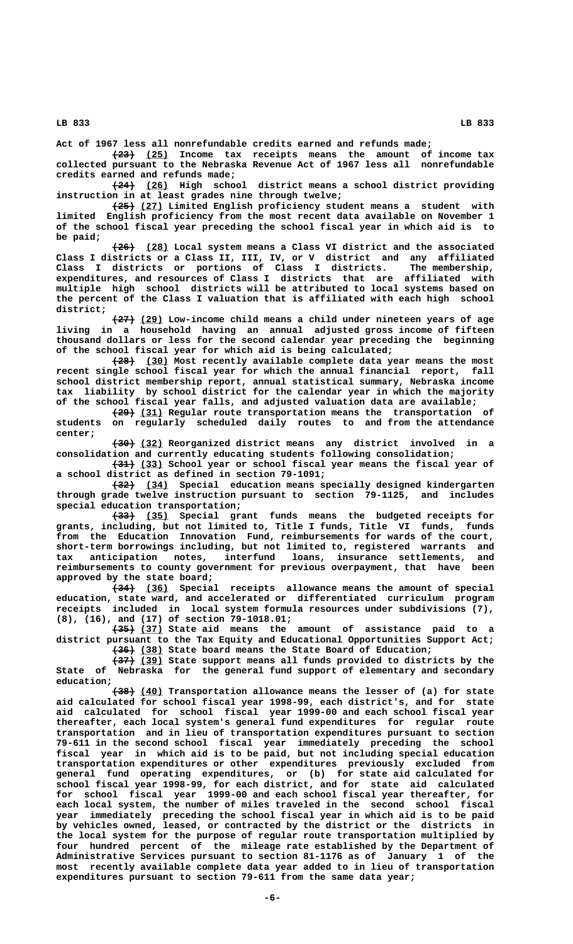**Act of 1967 less all nonrefundable credits earned and refunds made;**

 **———— \_\_\_\_ (23) (25) Income tax receipts means the amount of income tax collected pursuant to the Nebraska Revenue Act of 1967 less all nonrefundable credits earned and refunds made;**

 **———— \_\_\_\_ (24) (26) High school district means a school district providing instruction in at least grades nine through twelve;**

 **———— \_\_\_\_ (25) (27) Limited English proficiency student means a student with limited English proficiency from the most recent data available on November 1 of the school fiscal year preceding the school fiscal year in which aid is to be paid;**

 **———— \_\_\_\_ (26) (28) Local system means a Class VI district and the associated Class I districts or a Class II, III, IV, or V district and any affiliated Class I districts or portions of Class I districts. The membership, expenditures, and resources of Class I districts that are affiliated with multiple high school districts will be attributed to local systems based on the percent of the Class I valuation that is affiliated with each high school district;**

 **———— \_\_\_\_ (27) (29) Low-income child means a child under nineteen years of age living in a household having an annual adjusted gross income of fifteen thousand dollars or less for the second calendar year preceding the beginning of the school fiscal year for which aid is being calculated;**

 **———— \_\_\_\_ (28) (30) Most recently available complete data year means the most recent single school fiscal year for which the annual financial report, fall school district membership report, annual statistical summary, Nebraska income tax liability by school district for the calendar year in which the majority of the school fiscal year falls, and adjusted valuation data are available;**

 **———— \_\_\_\_ (29) (31) Regular route transportation means the transportation of students on regularly scheduled daily routes to and from the attendance center;**

 **———— \_\_\_\_ (30) (32) Reorganized district means any district involved in a consolidation and currently educating students following consolidation;**

 **———— \_\_\_\_ (31) (33) School year or school fiscal year means the fiscal year of a school district as defined in section 79-1091;**

 **———— \_\_\_\_ (32) (34) Special education means specially designed kindergarten through grade twelve instruction pursuant to section 79-1125, and includes special education transportation;**

> **———— \_\_\_\_ (33) (35) Special grant funds means the budgeted receipts for grants, including, but not limited to, Title I funds, Title VI funds, funds from the Education Innovation Fund, reimbursements for wards of the court, short-term borrowings including, but not limited to, registered warrants and tax anticipation notes, interfund loans, insurance settlements, and reimbursements to county government for previous overpayment, that have been approved by the state board;**

> **———— \_\_\_\_ (34) (36) Special receipts allowance means the amount of special education, state ward, and accelerated or differentiated curriculum program receipts included in local system formula resources under subdivisions (7), (8), (16), and (17) of section 79-1018.01;**

> **———— \_\_\_\_ (35) (37) State aid means the amount of assistance paid to a district pursuant to the Tax Equity and Educational Opportunities Support Act; ———— \_\_\_\_ (36) (38) State board means the State Board of Education;**

 **———— \_\_\_\_ (37) (39) State support means all funds provided to districts by the**

**State of Nebraska for the general fund support of elementary and secondary education;**

 **———— \_\_\_\_ (38) (40) Transportation allowance means the lesser of (a) for state aid calculated for school fiscal year 1998-99, each district's, and for state aid calculated for school fiscal year 1999-00 and each school fiscal year thereafter, each local system's general fund expenditures for regular route transportation and in lieu of transportation expenditures pursuant to section 79-611 in the second school fiscal year immediately preceding the school fiscal year in which aid is to be paid, but not including special education transportation expenditures or other expenditures previously excluded from general fund operating expenditures, or (b) for state aid calculated for school fiscal year 1998-99, for each district, and for state aid calculated for school fiscal year 1999-00 and each school fiscal year thereafter, for each local system, the number of miles traveled in the second school fiscal year immediately preceding the school fiscal year in which aid is to be paid by vehicles owned, leased, or contracted by the district or the districts in the local system for the purpose of regular route transportation multiplied by four hundred percent of the mileage rate established by the Department of Administrative Services pursuant to section 81-1176 as of January 1 of the most recently available complete data year added to in lieu of transportation expenditures pursuant to section 79-611 from the same data year;**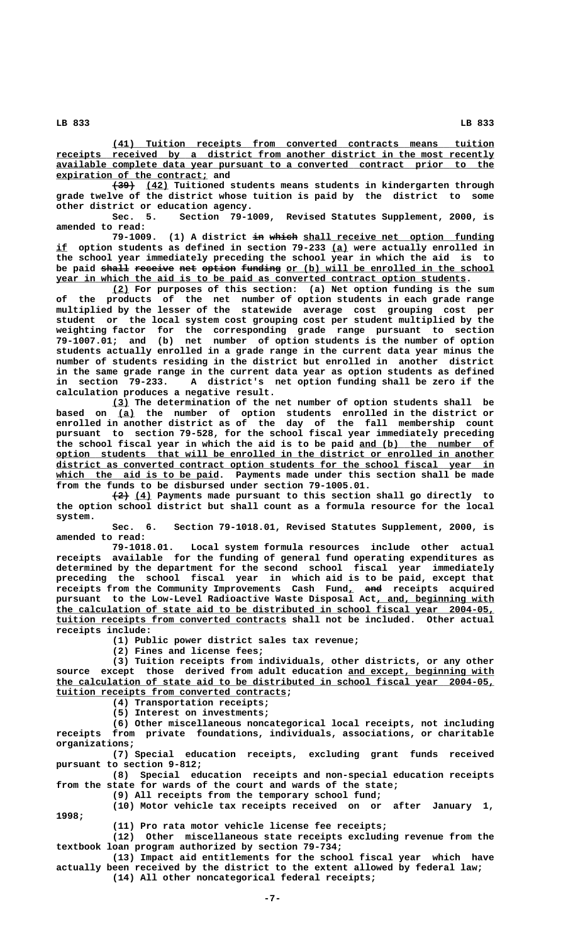**\_\_\_\_\_\_\_\_\_\_\_\_\_\_\_\_\_\_\_\_\_\_\_\_\_\_\_\_\_\_\_\_\_\_\_\_\_\_\_\_\_\_\_\_\_\_\_\_\_\_\_\_\_\_\_\_\_\_\_\_\_\_\_\_\_\_\_\_ (41) Tuition receipts from converted contracts means tuition** receipts received by a district from another district in the most recently  **\_\_\_\_\_\_\_\_\_\_\_\_\_\_\_\_\_\_\_\_\_\_\_\_\_\_\_\_\_\_\_\_\_\_\_\_\_\_\_\_\_\_\_\_\_\_\_\_\_\_\_\_\_\_\_\_\_\_\_\_\_\_\_\_\_\_\_\_\_\_\_\_\_\_\_\_\_\_ available complete data year pursuant to a converted contract prior to the \_\_\_\_\_\_\_\_\_\_\_\_\_\_\_\_\_\_\_\_\_\_\_\_\_\_\_ expiration of the contract; and**

 **———— \_\_\_\_ (39) (42) Tuitioned students means students in kindergarten through grade twelve of the district whose tuition is paid by the district to some other district or education agency.**

**Sec. 5. Section 79-1009, Revised Statutes Supplement, 2000, is amended to read:**

79-1009. (1) A district in which shall receive net option funding  **\_\_ \_\_\_ if option students as defined in section 79-233 (a) were actually enrolled in the school year immediately preceding the school year in which the aid is to** be paid shall receive net option funding or (b) will be enrolled in the school  **\_\_\_\_\_\_\_\_\_\_\_\_\_\_\_\_\_\_\_\_\_\_\_\_\_\_\_\_\_\_\_\_\_\_\_\_\_\_\_\_\_\_\_\_\_\_\_\_\_\_\_\_\_\_\_\_\_\_\_\_\_\_\_\_\_\_\_\_\_\_\_\_\_ year in which the aid is to be paid as converted contract option students.**

 **\_\_\_ (2) For purposes of this section: (a) Net option funding is the sum of the products of the net number of option students in each grade range multiplied by the lesser of the statewide average cost grouping cost per student or the local system cost grouping cost per student multiplied by the weighting factor for the corresponding grade range pursuant to section 79-1007.01; and (b) net number of option students is the number of option students actually enrolled in a grade range in the current data year minus the number of students residing in the district but enrolled in another district in the same grade range in the current data year as option students as defined in section 79-233. A district's net option funding shall be zero if the calculation produces a negative result.**

 **\_\_\_ (3) The determination of the net number of option students shall be \_\_\_ based on (a) the number of option students enrolled in the district or enrolled in another district as of the day of the fall membership count pursuant to section 79-528, for the school fiscal year immediately preceding** the school fiscal year in which the aid is to be paid <u>and (b) the number of</u>  **\_\_\_\_\_\_\_\_\_\_\_\_\_\_\_\_\_\_\_\_\_\_\_\_\_\_\_\_\_\_\_\_\_\_\_\_\_\_\_\_\_\_\_\_\_\_\_\_\_\_\_\_\_\_\_\_\_\_\_\_\_\_\_\_\_\_\_\_\_\_\_\_\_\_\_\_\_\_ option students that will be enrolled in the district or enrolled in another \_\_\_\_\_\_\_\_\_\_\_\_\_\_\_\_\_\_\_\_\_\_\_\_\_\_\_\_\_\_\_\_\_\_\_\_\_\_\_\_\_\_\_\_\_\_\_\_\_\_\_\_\_\_\_\_\_\_\_\_\_\_\_\_\_\_\_\_\_\_\_\_\_\_\_\_\_\_ district as converted contract option students for the school fiscal year in** which the aid is to be paid. Payments made under this section shall be made **from the funds to be disbursed under section 79-1005.01.**

 **——— \_\_\_ (2) (4) Payments made pursuant to this section shall go directly to the option school district but shall count as a formula resource for the local system.**

**Sec. 6. Section 79-1018.01, Revised Statutes Supplement, 2000, is amended to read:**

Local system formula resources include other actual **receipts available for the funding of general fund operating expenditures as determined by the department for the second school fiscal year immediately preceding the school fiscal year in which aid is to be paid, except that receipts from the Community Improvements Cash Fund, and receipts acquired \_ ——** pursuant to the Low-Level Radioactive Waste Disposal Act, and, beginning with  **\_\_\_\_\_\_\_\_\_\_\_\_\_\_\_\_\_\_\_\_\_\_\_\_\_\_\_\_\_\_\_\_\_\_\_\_\_\_\_\_\_\_\_\_\_\_\_\_\_\_\_\_\_\_\_\_\_\_\_\_\_\_\_\_\_\_\_\_\_\_\_\_\_\_\_\_\_\_ the calculation of state aid to be distributed in school fiscal year 2004-05, \_\_\_\_\_\_\_\_\_\_\_\_\_\_\_\_\_\_\_\_\_\_\_\_\_\_\_\_\_\_\_\_\_\_\_\_\_\_\_\_\_ tuition receipts from converted contracts shall not be included. Other actual receipts include:**

**(1) Public power district sales tax revenue;**

**(2) Fines and license fees;**

**(3) Tuition receipts from individuals, other districts, or any other** source except those derived from adult education <u>and except, beginning with</u>  **\_\_\_\_\_\_\_\_\_\_\_\_\_\_\_\_\_\_\_\_\_\_\_\_\_\_\_\_\_\_\_\_\_\_\_\_\_\_\_\_\_\_\_\_\_\_\_\_\_\_\_\_\_\_\_\_\_\_\_\_\_\_\_\_\_\_\_\_\_\_\_\_\_\_\_\_\_\_ the calculation of state aid to be distributed in school fiscal year 2004-05, \_\_\_\_\_\_\_\_\_\_\_\_\_\_\_\_\_\_\_\_\_\_\_\_\_\_\_\_\_\_\_\_\_\_\_\_\_\_\_\_\_ tuition receipts from converted contracts;**

**(4) Transportation receipts;**

**(5) Interest on investments;**

**(6) Other miscellaneous noncategorical local receipts, not including receipts from private foundations, individuals, associations, or charitable organizations;**

**(7) Special education receipts, excluding grant funds received pursuant to section 9-812;**

**(8) Special education receipts and non-special education receipts from the state for wards of the court and wards of the state;**

**(9) All receipts from the temporary school fund;**

**(10) Motor vehicle tax receipts received on or after January 1, 1998;**

**(11) Pro rata motor vehicle license fee receipts;**

**(12) Other miscellaneous state receipts excluding revenue from the textbook loan program authorized by section 79-734;**

**(13) Impact aid entitlements for the school fiscal year which have actually been received by the district to the extent allowed by federal law; (14) All other noncategorical federal receipts;**